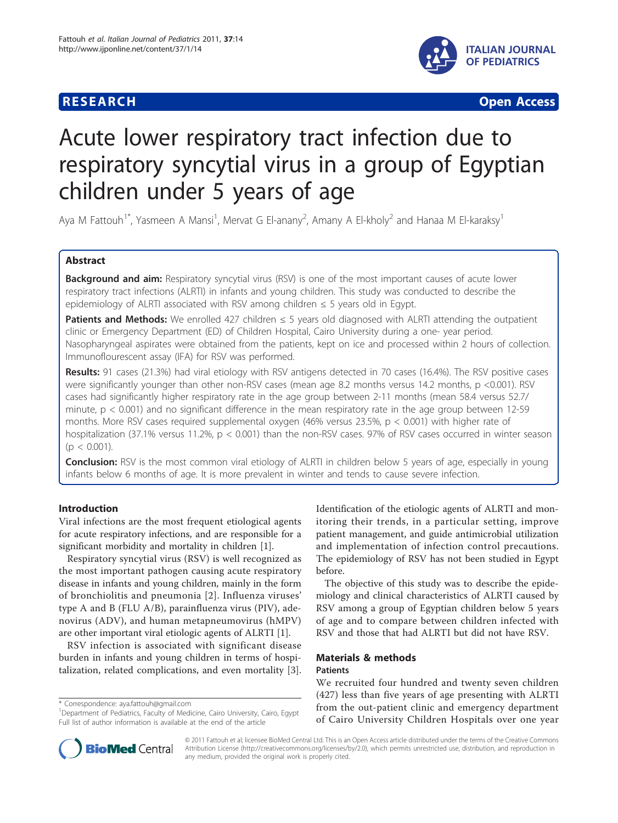## **RESEARCH CONTROL** CONTROL CONTROL CONTROL CONTROL CONTROL CONTROL CONTROL CONTROL CONTROL CONTROL CONTROL CONTROL



# Acute lower respiratory tract infection due to respiratory syncytial virus in a group of Egyptian children under 5 years of age

Aya M Fattouh<sup>1\*</sup>, Yasmeen A Mansi<sup>1</sup>, Mervat G El-anany<sup>2</sup>, Amany A El-kholy<sup>2</sup> and Hanaa M El-karaksy<sup>1</sup>

## Abstract

Background and aim: Respiratory syncytial virus (RSV) is one of the most important causes of acute lower respiratory tract infections (ALRTI) in infants and young children. This study was conducted to describe the epidemiology of ALRTI associated with RSV among children  $\leq$  5 years old in Egypt.

**Patients and Methods:** We enrolled 427 children  $\leq$  5 years old diagnosed with ALRTI attending the outpatient clinic or Emergency Department (ED) of Children Hospital, Cairo University during a one- year period. Nasopharyngeal aspirates were obtained from the patients, kept on ice and processed within 2 hours of collection. Immunoflourescent assay (IFA) for RSV was performed.

Results: 91 cases (21.3%) had viral etiology with RSV antigens detected in 70 cases (16.4%). The RSV positive cases were significantly younger than other non-RSV cases (mean age 8.2 months versus 14.2 months, p <0.001). RSV cases had significantly higher respiratory rate in the age group between 2-11 months (mean 58.4 versus 52.7/ minute,  $p < 0.001$ ) and no significant difference in the mean respiratory rate in the age group between 12-59 months. More RSV cases required supplemental oxygen (46% versus 23.5%,  $p < 0.001$ ) with higher rate of hospitalization (37.1% versus 11.2%, p < 0.001) than the non-RSV cases. 97% of RSV cases occurred in winter season  $(p < 0.001)$ .

**Conclusion:** RSV is the most common viral etiology of ALRTI in children below 5 years of age, especially in young infants below 6 months of age. It is more prevalent in winter and tends to cause severe infection.

## Introduction

Viral infections are the most frequent etiological agents for acute respiratory infections, and are responsible for a significant morbidity and mortality in children [[1\]](#page-4-0).

Respiratory syncytial virus (RSV) is well recognized as the most important pathogen causing acute respiratory disease in infants and young children, mainly in the form of bronchiolitis and pneumonia [[2\]](#page-4-0). Influenza viruses' type A and B (FLU A/B), parainfluenza virus (PIV), adenovirus (ADV), and human metapneumovirus (hMPV) are other important viral etiologic agents of ALRTI [\[1](#page-4-0)].

RSV infection is associated with significant disease burden in infants and young children in terms of hospitalization, related complications, and even mortality [\[3](#page-4-0)].

\* Correspondence: [aya.fattouh@gmail.com](mailto:aya.fattouh@gmail.com)

Identification of the etiologic agents of ALRTI and monitoring their trends, in a particular setting, improve patient management, and guide antimicrobial utilization and implementation of infection control precautions. The epidemiology of RSV has not been studied in Egypt before.

The objective of this study was to describe the epidemiology and clinical characteristics of ALRTI caused by RSV among a group of Egyptian children below 5 years of age and to compare between children infected with RSV and those that had ALRTI but did not have RSV.

## Materials & methods Patients

We recruited four hundred and twenty seven children (427) less than five years of age presenting with ALRTI from the out-patient clinic and emergency department of Cairo University Children Hospitals over one year



© 2011 Fattouh et al; licensee BioMed Central Ltd. This is an Open Access article distributed under the terms of the Creative Commons Attribution License [\(http://creativecommons.org/licenses/by/2.0](http://creativecommons.org/licenses/by/2.0)), which permits unrestricted use, distribution, and reproduction in any medium, provided the original work is properly cited.

<sup>&</sup>lt;sup>1</sup>Department of Pediatrics, Faculty of Medicine, Cairo University, Cairo, Egypt Full list of author information is available at the end of the article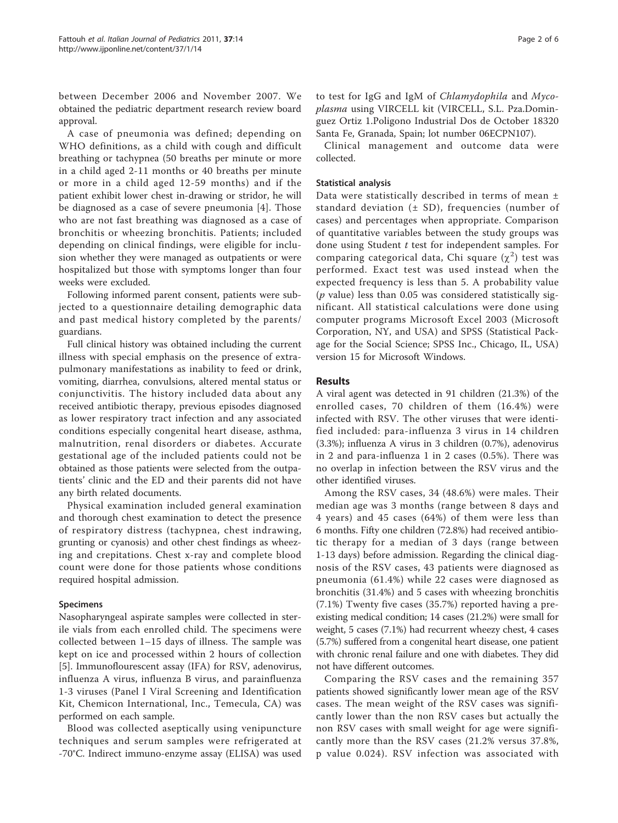between December 2006 and November 2007. We obtained the pediatric department research review board approval.

A case of pneumonia was defined; depending on WHO definitions, as a child with cough and difficult breathing or tachypnea (50 breaths per minute or more in a child aged 2-11 months or 40 breaths per minute or more in a child aged 12-59 months) and if the patient exhibit lower chest in-drawing or stridor, he will be diagnosed as a case of severe pneumonia [[4\]](#page-4-0). Those who are not fast breathing was diagnosed as a case of bronchitis or wheezing bronchitis. Patients; included depending on clinical findings, were eligible for inclusion whether they were managed as outpatients or were hospitalized but those with symptoms longer than four weeks were excluded.

Following informed parent consent, patients were subjected to a questionnaire detailing demographic data and past medical history completed by the parents/ guardians.

Full clinical history was obtained including the current illness with special emphasis on the presence of extrapulmonary manifestations as inability to feed or drink, vomiting, diarrhea, convulsions, altered mental status or conjunctivitis. The history included data about any received antibiotic therapy, previous episodes diagnosed as lower respiratory tract infection and any associated conditions especially congenital heart disease, asthma, malnutrition, renal disorders or diabetes. Accurate gestational age of the included patients could not be obtained as those patients were selected from the outpatients' clinic and the ED and their parents did not have any birth related documents.

Physical examination included general examination and thorough chest examination to detect the presence of respiratory distress (tachypnea, chest indrawing, grunting or cyanosis) and other chest findings as wheezing and crepitations. Chest x-ray and complete blood count were done for those patients whose conditions required hospital admission.

### Specimens

Nasopharyngeal aspirate samples were collected in sterile vials from each enrolled child. The specimens were collected between 1–15 days of illness. The sample was kept on ice and processed within 2 hours of collection [[5\]](#page-4-0). Immunoflourescent assay (IFA) for RSV, adenovirus, influenza A virus, influenza B virus, and parainfluenza 1-3 viruses (Panel I Viral Screening and Identification Kit, Chemicon International, Inc., Temecula, CA) was performed on each sample.

Blood was collected aseptically using venipuncture techniques and serum samples were refrigerated at -70°C. Indirect immuno-enzyme assay (ELISA) was used to test for IgG and IgM of Chlamydophila and Mycoplasma using VIRCELL kit (VIRCELL, S.L. Pza.Dominguez Ortiz 1.Poligono Industrial Dos de October 18320 Santa Fe, Granada, Spain; lot number 06ECPN107).

Clinical management and outcome data were collected.

## Statistical analysis

Data were statistically described in terms of mean ± standard deviation  $(± SD)$ , frequencies (number of cases) and percentages when appropriate. Comparison of quantitative variables between the study groups was done using Student  $t$  test for independent samples. For comparing categorical data, Chi square  $(\chi^2)$  test was performed. Exact test was used instead when the expected frequency is less than 5. A probability value  $(p \text{ value})$  less than 0.05 was considered statistically significant. All statistical calculations were done using computer programs Microsoft Excel 2003 (Microsoft Corporation, NY, and USA) and SPSS (Statistical Package for the Social Science; SPSS Inc., Chicago, IL, USA) version 15 for Microsoft Windows.

## Results

A viral agent was detected in 91 children (21.3%) of the enrolled cases, 70 children of them (16.4%) were infected with RSV. The other viruses that were identified included: para-influenza 3 virus in 14 children (3.3%); influenza A virus in 3 children (0.7%), adenovirus in 2 and para-influenza 1 in 2 cases (0.5%). There was no overlap in infection between the RSV virus and the other identified viruses.

Among the RSV cases, 34 (48.6%) were males. Their median age was 3 months (range between 8 days and 4 years) and 45 cases (64%) of them were less than 6 months. Fifty one children (72.8%) had received antibiotic therapy for a median of 3 days (range between 1-13 days) before admission. Regarding the clinical diagnosis of the RSV cases, 43 patients were diagnosed as pneumonia (61.4%) while 22 cases were diagnosed as bronchitis (31.4%) and 5 cases with wheezing bronchitis (7.1%) Twenty five cases (35.7%) reported having a preexisting medical condition; 14 cases (21.2%) were small for weight, 5 cases (7.1%) had recurrent wheezy chest, 4 cases (5.7%) suffered from a congenital heart disease, one patient with chronic renal failure and one with diabetes. They did not have different outcomes.

Comparing the RSV cases and the remaining 357 patients showed significantly lower mean age of the RSV cases. The mean weight of the RSV cases was significantly lower than the non RSV cases but actually the non RSV cases with small weight for age were significantly more than the RSV cases (21.2% versus 37.8%, p value 0.024). RSV infection was associated with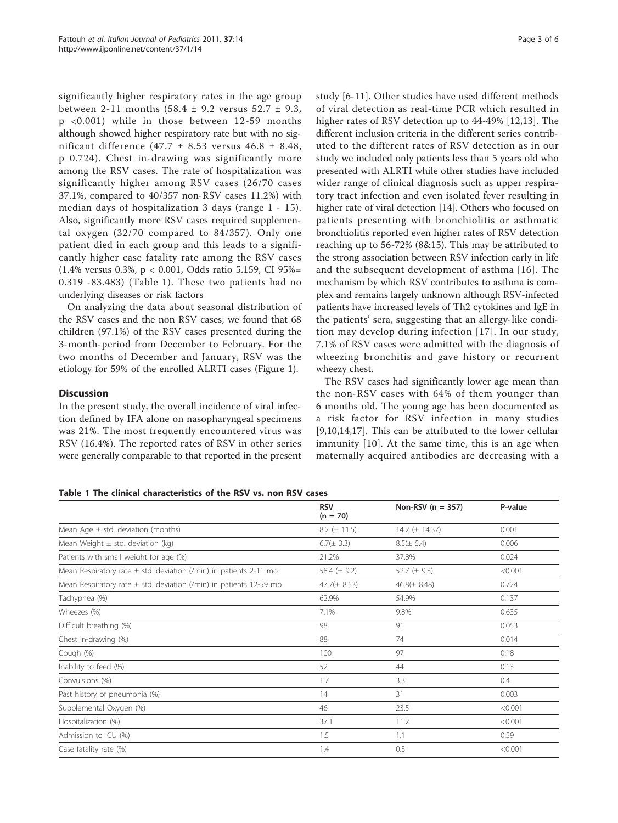significantly higher respiratory rates in the age group between 2-11 months  $(58.4 \pm 9.2 \text{ versus } 52.7 \pm 9.3,$ p <0.001) while in those between 12-59 months although showed higher respiratory rate but with no significant difference (47.7 ± 8.53 versus 46.8 ± 8.48, p 0.724). Chest in-drawing was significantly more among the RSV cases. The rate of hospitalization was significantly higher among RSV cases (26/70 cases 37.1%, compared to 40/357 non-RSV cases 11.2%) with median days of hospitalization 3 days (range 1 - 15). Also, significantly more RSV cases required supplemental oxygen (32/70 compared to 84/357). Only one patient died in each group and this leads to a significantly higher case fatality rate among the RSV cases (1.4% versus 0.3%, p < 0.001, Odds ratio 5.159, CI 95%= 0.319 -83.483) (Table 1). These two patients had no underlying diseases or risk factors

On analyzing the data about seasonal distribution of the RSV cases and the non RSV cases; we found that 68 children (97.1%) of the RSV cases presented during the 3-month-period from December to February. For the two months of December and January, RSV was the etiology for 59% of the enrolled ALRTI cases (Figure [1](#page-3-0)).

## **Discussion**

In the present study, the overall incidence of viral infection defined by IFA alone on nasopharyngeal specimens was 21%. The most frequently encountered virus was RSV (16.4%). The reported rates of RSV in other series were generally comparable to that reported in the present study [\[6](#page-4-0)-[11](#page-4-0)]. Other studies have used different methods of viral detection as real-time PCR which resulted in higher rates of RSV detection up to 44-49% [[12,13\]](#page-4-0). The different inclusion criteria in the different series contributed to the different rates of RSV detection as in our study we included only patients less than 5 years old who presented with ALRTI while other studies have included wider range of clinical diagnosis such as upper respiratory tract infection and even isolated fever resulting in higher rate of viral detection [\[14\]](#page-4-0). Others who focused on patients presenting with bronchiolitis or asthmatic bronchiolitis reported even higher rates of RSV detection reaching up to 56-72% (8&15). This may be attributed to the strong association between RSV infection early in life and the subsequent development of asthma [[16\]](#page-4-0). The mechanism by which RSV contributes to asthma is complex and remains largely unknown although RSV-infected patients have increased levels of Th2 cytokines and IgE in the patients' sera, suggesting that an allergy-like condition may develop during infection [[17\]](#page-4-0). In our study, 7.1% of RSV cases were admitted with the diagnosis of wheezing bronchitis and gave history or recurrent wheezy chest.

The RSV cases had significantly lower age mean than the non-RSV cases with 64% of them younger than 6 months old. The young age has been documented as a risk factor for RSV infection in many studies [[9,10,14,17](#page-4-0)]. This can be attributed to the lower cellular immunity [\[10\]](#page-4-0). At the same time, this is an age when maternally acquired antibodies are decreasing with a

Table 1 The clinical characteristics of the RSV vs. non RSV cases

|                                                                        | <b>RSV</b><br>$(n = 70)$ | Non-RSV ( $n = 357$ ) | P-value |
|------------------------------------------------------------------------|--------------------------|-----------------------|---------|
| Mean Age $\pm$ std. deviation (months)                                 | $8.2 \ (\pm 11.5)$       | 14.2 $(\pm 14.37)$    | 0.001   |
| Mean Weight $\pm$ std. deviation (kg)                                  | $6.7(\pm 3.3)$           | $8.5(\pm 5.4)$        | 0.006   |
| Patients with small weight for age (%)                                 | 21.2%                    | 37.8%                 | 0.024   |
| Mean Respiratory rate $\pm$ std. deviation (/min) in patients 2-11 mo  | 58.4 $(\pm 9.2)$         | 52.7 ( $\pm$ 9.3)     | < 0.001 |
| Mean Respiratory rate $\pm$ std. deviation (/min) in patients 12-59 mo | $47.7(\pm 8.53)$         | $46.8(\pm 8.48)$      | 0.724   |
| Tachypnea (%)                                                          | 62.9%                    | 54.9%                 | 0.137   |
| Wheezes (%)                                                            | 7.1%                     | 9.8%                  | 0.635   |
| Difficult breathing (%)                                                | 98                       | 91                    | 0.053   |
| Chest in-drawing (%)                                                   | 88                       | 74                    | 0.014   |
| Cough (%)                                                              | 100                      | 97                    | 0.18    |
| Inability to feed (%)                                                  | 52                       | 44                    | 0.13    |
| Convulsions (%)                                                        | 1.7                      | 3.3                   | 0.4     |
| Past history of pneumonia (%)                                          | 14                       | 31                    | 0.003   |
| Supplemental Oxygen (%)                                                | 46                       | 23.5                  | < 0.001 |
| Hospitalization (%)                                                    | 37.1                     | 11.2                  | < 0.001 |
| Admission to ICU (%)                                                   | 1.5                      | 1.1                   | 0.59    |
| Case fatality rate (%)                                                 | 1.4                      | 0.3                   | < 0.001 |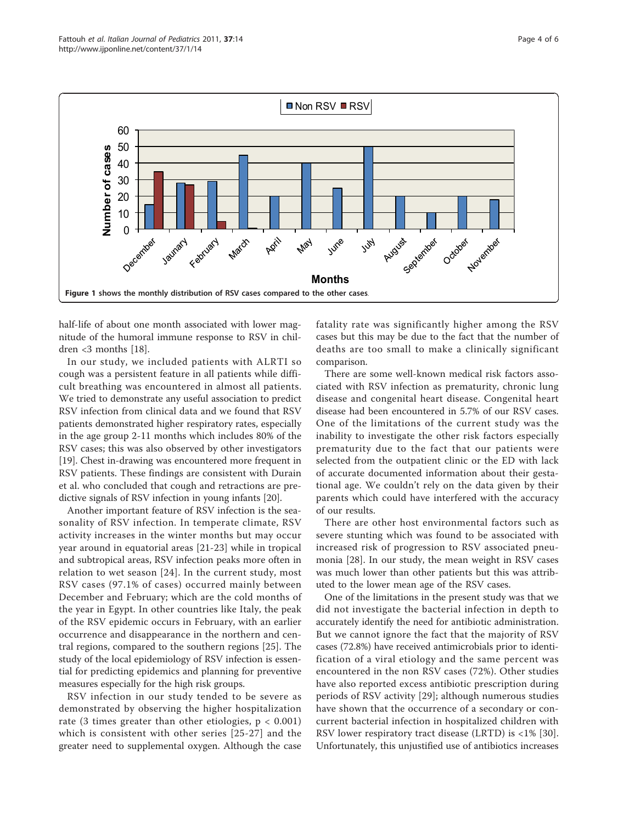<span id="page-3-0"></span>

half-life of about one month associated with lower magnitude of the humoral immune response to RSV in children <3 months [\[18\]](#page-4-0).

In our study, we included patients with ALRTI so cough was a persistent feature in all patients while difficult breathing was encountered in almost all patients. We tried to demonstrate any useful association to predict RSV infection from clinical data and we found that RSV patients demonstrated higher respiratory rates, especially in the age group 2-11 months which includes 80% of the RSV cases; this was also observed by other investigators [[19\]](#page-4-0). Chest in-drawing was encountered more frequent in RSV patients. These findings are consistent with Durain et al. who concluded that cough and retractions are predictive signals of RSV infection in young infants [[20\]](#page-4-0).

Another important feature of RSV infection is the seasonality of RSV infection. In temperate climate, RSV activity increases in the winter months but may occur year around in equatorial areas [[21-](#page-4-0)[23](#page-5-0)] while in tropical and subtropical areas, RSV infection peaks more often in relation to wet season [[24](#page-5-0)]. In the current study, most RSV cases (97.1% of cases) occurred mainly between December and February; which are the cold months of the year in Egypt. In other countries like Italy, the peak of the RSV epidemic occurs in February, with an earlier occurrence and disappearance in the northern and central regions, compared to the southern regions [[25\]](#page-5-0). The study of the local epidemiology of RSV infection is essential for predicting epidemics and planning for preventive measures especially for the high risk groups.

RSV infection in our study tended to be severe as demonstrated by observing the higher hospitalization rate (3 times greater than other etiologies,  $p < 0.001$ ) which is consistent with other series [[25](#page-5-0)-[27](#page-5-0)] and the greater need to supplemental oxygen. Although the case fatality rate was significantly higher among the RSV cases but this may be due to the fact that the number of deaths are too small to make a clinically significant comparison.

There are some well-known medical risk factors associated with RSV infection as prematurity, chronic lung disease and congenital heart disease. Congenital heart disease had been encountered in 5.7% of our RSV cases. One of the limitations of the current study was the inability to investigate the other risk factors especially prematurity due to the fact that our patients were selected from the outpatient clinic or the ED with lack of accurate documented information about their gestational age. We couldn't rely on the data given by their parents which could have interfered with the accuracy of our results.

There are other host environmental factors such as severe stunting which was found to be associated with increased risk of progression to RSV associated pneumonia [[28\]](#page-5-0). In our study, the mean weight in RSV cases was much lower than other patients but this was attributed to the lower mean age of the RSV cases.

One of the limitations in the present study was that we did not investigate the bacterial infection in depth to accurately identify the need for antibiotic administration. But we cannot ignore the fact that the majority of RSV cases (72.8%) have received antimicrobials prior to identification of a viral etiology and the same percent was encountered in the non RSV cases (72%). Other studies have also reported excess antibiotic prescription during periods of RSV activity [[29\]](#page-5-0); although numerous studies have shown that the occurrence of a secondary or concurrent bacterial infection in hospitalized children with RSV lower respiratory tract disease (LRTD) is <1% [[30](#page-5-0)]. Unfortunately, this unjustified use of antibiotics increases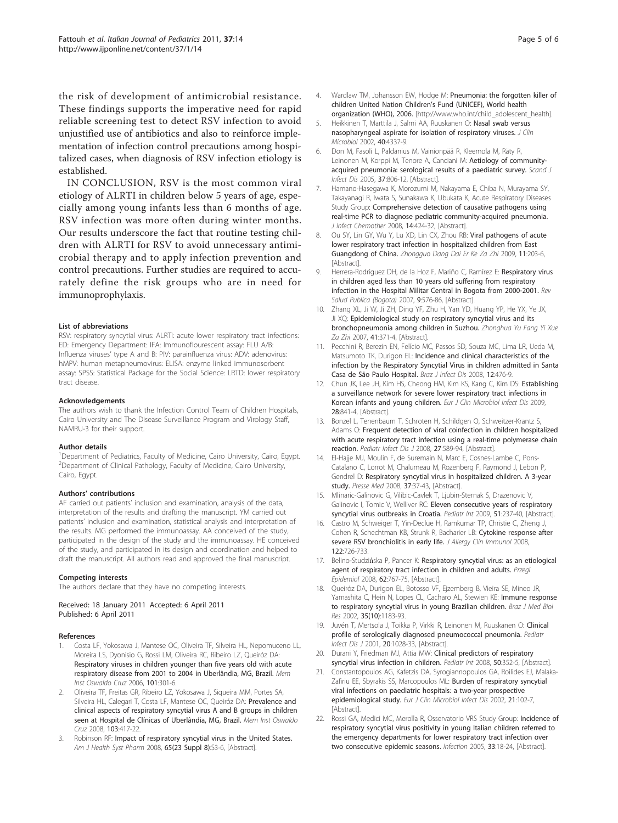<span id="page-4-0"></span>the risk of development of antimicrobial resistance. These findings supports the imperative need for rapid reliable screening test to detect RSV infection to avoid unjustified use of antibiotics and also to reinforce implementation of infection control precautions among hospitalized cases, when diagnosis of RSV infection etiology is established.

IN CONCLUSION, RSV is the most common viral etiology of ALRTI in children below 5 years of age, especially among young infants less than 6 months of age. RSV infection was more often during winter months. Our results underscore the fact that routine testing children with ALRTI for RSV to avoid unnecessary antimicrobial therapy and to apply infection prevention and control precautions. Further studies are required to accurately define the risk groups who are in need for immunoprophylaxis.

#### List of abbreviations

RSV: respiratory syncytial virus: ALRTI: acute lower respiratory tract infections: ED: Emergency Department: IFA: Immunoflourescent assay: FLU A/B: Influenza viruses' type A and B: PIV: parainfluenza virus: ADV: adenovirus: hMPV: human metapneumovirus: ELISA: enzyme linked immunosorbent assay: SPSS: Statistical Package for the Social Science: LRTD: lower respiratory tract disease.

#### Acknowledgements

The authors wish to thank the Infection Control Team of Children Hospitals, Cairo University and The Disease Surveillance Program and Virology Staff, NAMRU-3 for their support.

#### Author details

<sup>1</sup>Department of Pediatrics, Faculty of Medicine, Cairo University, Cairo, Egypt. <sup>2</sup> Department of Clinical Pathology, Faculty of Medicine, Cairo University, Cairo, Egypt.

#### Authors' contributions

AF carried out patients' inclusion and examination, analysis of the data, interpretation of the results and drafting the manuscript. YM carried out patients' inclusion and examination, statistical analysis and interpretation of the results. MG performed the immunoassay. AA conceived of the study, participated in the design of the study and the immunoassay. HE conceived of the study, and participated in its design and coordination and helped to draft the manuscript. All authors read and approved the final manuscript.

#### Competing interests

The authors declare that they have no competing interests.

Received: 18 January 2011 Accepted: 6 April 2011 Published: 6 April 2011

#### References

- 1. Costa LF, Yokosawa J, Mantese OC, Oliveira TF, Silveira HL, Nepomuceno LL, Moreira LS, Dyonisio G, Rossi LM, Oliveira RC, Ribeiro LZ, Queiróz DA: [Respiratory viruses in children younger than five years old with acute](http://www.ncbi.nlm.nih.gov/pubmed/16862327?dopt=Abstract) [respiratory disease from 2001 to 2004 in Uberlândia, MG, Brazil.](http://www.ncbi.nlm.nih.gov/pubmed/16862327?dopt=Abstract) Mem Inst Oswaldo Cruz 2006, 101:301-6.
- 2. Oliveira TF, Freitas GR, Ribeiro LZ, Yokosawa J, Siqueira MM, Portes SA, Silveira HL, Calegari T, Costa LF, Mantese OC, Queiróz DA: [Prevalence and](http://www.ncbi.nlm.nih.gov/pubmed/18797752?dopt=Abstract) [clinical aspects of respiratory syncytial virus A and B groups in children](http://www.ncbi.nlm.nih.gov/pubmed/18797752?dopt=Abstract) [seen at Hospital de Clínicas of Uberlândia, MG, Brazil.](http://www.ncbi.nlm.nih.gov/pubmed/18797752?dopt=Abstract) Mem Inst Oswaldo Cruz 2008, 103:417-22.
- Robinson RF: [Impact of respiratory syncytial virus in the United States.](http://www.ncbi.nlm.nih.gov/pubmed/19020201?dopt=Abstract) Am J Health Syst Pharm 2008, 65(23 Suppl 8):S3-6, [Abstract].
- 4. Wardlaw TM, Johansson EW, Hodge M: Pneumonia: the forgotten killer of children United Nation Children's Fund (UNICEF), World health organization (WHO), 2006. [\[http://www.who.int/child\\_adolescent\\_health\]](http://www.who.int/child_adolescent_health).
- 5. Heikkinen T, Marttila J, Salmi AA, Ruuskanen O: [Nasal swab versus](http://www.ncbi.nlm.nih.gov/pubmed/12409425?dopt=Abstract) [nasopharyngeal aspirate for isolation of respiratory viruses.](http://www.ncbi.nlm.nih.gov/pubmed/12409425?dopt=Abstract) J Clin Microbiol 2002, 40:4337-9.
- 6. Don M, Fasoli L, Paldanius M, Vainionpää R, Kleemola M, Räty R, Leinonen M, Korppi M, Tenore A, Canciani M: [Aetiology of community](http://www.ncbi.nlm.nih.gov/pubmed/16308213?dopt=Abstract)[acquired pneumonia: serological results of a paediatric survey.](http://www.ncbi.nlm.nih.gov/pubmed/16308213?dopt=Abstract) Scand J Infect Dis 2005, 37:806-12, [Abstract].
- 7. Hamano-Hasegawa K, Morozumi M, Nakayama E, Chiba N, Murayama SY, Takayanagi R, Iwata S, Sunakawa K, Ubukata K, Acute Respiratory Diseases Study Group: [Comprehensive detection of causative pathogens using](http://www.ncbi.nlm.nih.gov/pubmed/19089556?dopt=Abstract) [real-time PCR to diagnose pediatric community-acquired pneumonia.](http://www.ncbi.nlm.nih.gov/pubmed/19089556?dopt=Abstract) J Infect Chemother 2008, 14:424-32, [Abstract].
- 8. Ou SY, Lin GY, Wu Y, Lu XD, Lin CX, Zhou RB: [Viral pathogens of acute](http://www.ncbi.nlm.nih.gov/pubmed/19292960?dopt=Abstract) [lower respiratory tract infection in hospitalized children from East](http://www.ncbi.nlm.nih.gov/pubmed/19292960?dopt=Abstract) [Guangdong of China.](http://www.ncbi.nlm.nih.gov/pubmed/19292960?dopt=Abstract) Zhongguo Dang Dai Er Ke Za Zhi 2009, 11:203-6, [Abstract]
- 9. Herrera-Rodríguez DH, de la Hoz F, Mariño C, Ramírez E: [Respiratory virus](http://www.ncbi.nlm.nih.gov/pubmed/18209824?dopt=Abstract) [in children aged less than 10 years old suffering from respiratory](http://www.ncbi.nlm.nih.gov/pubmed/18209824?dopt=Abstract) [infection in the Hospital Militar Central in Bogota from 2000-2001.](http://www.ncbi.nlm.nih.gov/pubmed/18209824?dopt=Abstract) Rev Salud Publica (Boaota) 2007, 9:576-86, [Abstract].
- 10. Zhang XL, Ji W, Ji ZH, Ding YF, Zhu H, Yan YD, Huang YP, He YX, Ye JX, Ji XQ: [Epidemiological study on respiratory syncytial virus and its](http://www.ncbi.nlm.nih.gov/pubmed/18206007?dopt=Abstract) [bronchopneumonia among children in Suzhou.](http://www.ncbi.nlm.nih.gov/pubmed/18206007?dopt=Abstract) Zhonghua Yu Fang Yi Xue Za Zhi 2007, 41:371-4, [Abstract].
- 11. Pecchini R, Berezin EN, Felício MC, Passos SD, Souza MC, Lima LR, Ueda M, Matsumoto TK, Durigon EL: [Incidence and clinical characteristics of the](http://www.ncbi.nlm.nih.gov/pubmed/19287833?dopt=Abstract) [infection by the Respiratory Syncytial Virus in children admitted in Santa](http://www.ncbi.nlm.nih.gov/pubmed/19287833?dopt=Abstract) [Casa de São Paulo Hospital.](http://www.ncbi.nlm.nih.gov/pubmed/19287833?dopt=Abstract) Braz J Infect Dis 2008, 12:476-9.
- 12. Chun JK, Lee JH, Kim HS, Cheong HM, Kim KS, Kang C, Kim DS: [Establishing](http://www.ncbi.nlm.nih.gov/pubmed/19190941?dopt=Abstract) [a surveillance network for severe lower respiratory tract infections in](http://www.ncbi.nlm.nih.gov/pubmed/19190941?dopt=Abstract) [Korean infants and young children.](http://www.ncbi.nlm.nih.gov/pubmed/19190941?dopt=Abstract) Eur J Clin Microbiol Infect Dis 2009, 28:841-4, [Abstract].
- 13. Bonzel L, Tenenbaum T, Schroten H, Schildgen O, Schweitzer-Krantz S, Adams O: [Frequent detection of viral coinfection in children hospitalized](http://www.ncbi.nlm.nih.gov/pubmed/18520973?dopt=Abstract) [with acute respiratory tract infection using a real-time polymerase chain](http://www.ncbi.nlm.nih.gov/pubmed/18520973?dopt=Abstract) [reaction.](http://www.ncbi.nlm.nih.gov/pubmed/18520973?dopt=Abstract) Pediatr Infect Dis J 2008, 27:589-94, [Abstract].
- 14. El-Hajje MJ, Moulin F, de Suremain N, Marc E, Cosnes-Lambe C, Pons-Catalano C, Lorrot M, Chalumeau M, Rozenberg F, Raymond J, Lebon P, Gendrel D: [Respiratory syncytial virus in hospitalized children. A 3-year](http://www.ncbi.nlm.nih.gov/pubmed/18061394?dopt=Abstract) [study.](http://www.ncbi.nlm.nih.gov/pubmed/18061394?dopt=Abstract) Presse Med 2008, 37:37-43, [Abstract].
- 15. Mlinaric-Galinovic G, Vilibic-Cavlek T, Ljubin-Sternak S, Drazenovic V, Galinovic I, Tomic V, Welliver RC: [Eleven consecutive years of respiratory](http://www.ncbi.nlm.nih.gov/pubmed/19405923?dopt=Abstract) [syncytial virus outbreaks in Croatia.](http://www.ncbi.nlm.nih.gov/pubmed/19405923?dopt=Abstract) Pediatr Int 2009, 51:237-40, [Abstract].
- 16. Castro M, Schweiger T, Yin-Declue H, Ramkumar TP, Christie C, Zheng J, Cohen R, Schechtman KB, Strunk R, Bacharier LB: [Cytokine response after](http://www.ncbi.nlm.nih.gov/pubmed/18760461?dopt=Abstract) [severe RSV bronchiolitis in early life.](http://www.ncbi.nlm.nih.gov/pubmed/18760461?dopt=Abstract) J Allergy Clin Immunol 2008, 122:726-733.
- 17. Belino-Studzińska P, Pancer K: [Respiratory syncytial virus: as an etiological](http://www.ncbi.nlm.nih.gov/pubmed/19209739?dopt=Abstract) [agent of respiratory tract infection in children and adults.](http://www.ncbi.nlm.nih.gov/pubmed/19209739?dopt=Abstract) Przegl Epidemiol 2008, 62:767-75, [Abstract].
- 18. Queiróz DA, Durigon EL, Botosso VF, Ejzemberg B, Vieira SE, Mineo JR, Yamashita C, Hein N, Lopes CL, Cacharo AL, Stewien KE: [Immune response](http://www.ncbi.nlm.nih.gov/pubmed/12424491?dopt=Abstract) [to respiratory syncytial virus in young Brazilian children.](http://www.ncbi.nlm.nih.gov/pubmed/12424491?dopt=Abstract) Braz J Med Biol Res 2002, 35(10):1183-93.
- 19. Juvén T, Mertsola J, Toikka P, Virkki R, Leinonen M, Ruuskanen O: [Clinical](http://www.ncbi.nlm.nih.gov/pubmed/11734706?dopt=Abstract) [profile of serologically diagnosed pneumococcal pneumonia.](http://www.ncbi.nlm.nih.gov/pubmed/11734706?dopt=Abstract) Pediatr Infect Dis J 2001, 20:1028-33, [Abstract].
- 20. Durani Y, Friedman MJ, Attia MW: [Clinical predictors of respiratory](http://www.ncbi.nlm.nih.gov/pubmed/18533951?dopt=Abstract) [syncytial virus infection in children.](http://www.ncbi.nlm.nih.gov/pubmed/18533951?dopt=Abstract) Pediatr Int 2008, 50:352-5, [Abstract].
- 21. Constantopoulos AG, Kafetzis DA, Syrogiannopoulos GA, Roilides EJ, Malaka-Zafiriu EE, Sbyrakis SS, Marcopoulos ML: [Burden of respiratory syncytial](http://www.ncbi.nlm.nih.gov/pubmed/11939389?dopt=Abstract) [viral infections on paediatric hospitals: a two-year prospective](http://www.ncbi.nlm.nih.gov/pubmed/11939389?dopt=Abstract) [epidemiological study.](http://www.ncbi.nlm.nih.gov/pubmed/11939389?dopt=Abstract) Eur J Clin Microbiol Infect Dis 2002, 21:102-7, [Abstract].
- 22. Rossi GA, Medici MC, Merolla R, Osservatorio VRS Study Group: [Incidence of](http://www.ncbi.nlm.nih.gov/pubmed/15750755?dopt=Abstract) [respiratory syncytial virus positivity in young Italian children referred to](http://www.ncbi.nlm.nih.gov/pubmed/15750755?dopt=Abstract) [the emergency departments for lower respiratory tract infection over](http://www.ncbi.nlm.nih.gov/pubmed/15750755?dopt=Abstract) [two consecutive epidemic seasons.](http://www.ncbi.nlm.nih.gov/pubmed/15750755?dopt=Abstract) Infection 2005, 33:18-24, [Abstract].